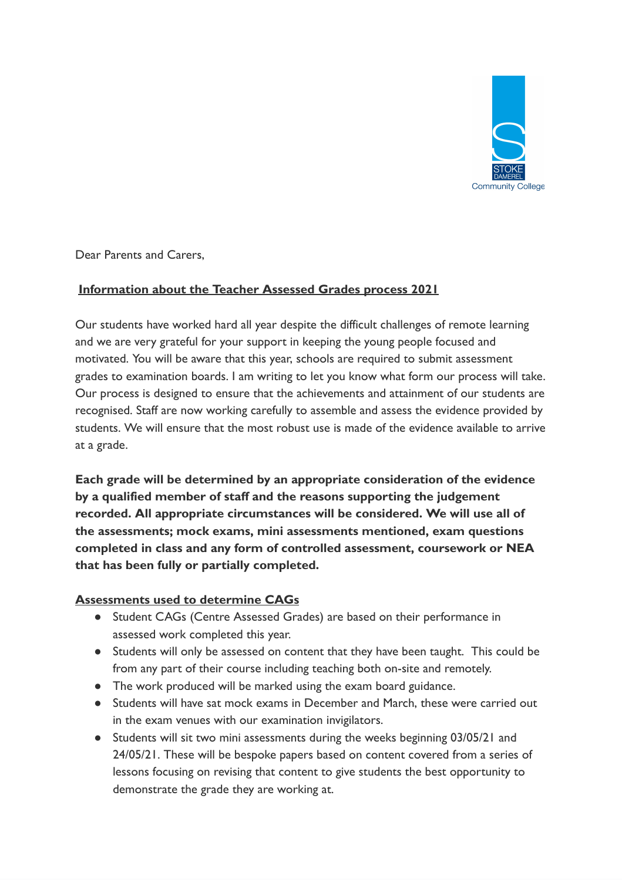

Dear Parents and Carers,

## **Information about the Teacher Assessed Grades process 2021**

Our students have worked hard all year despite the difficult challenges of remote learning and we are very grateful for your support in keeping the young people focused and motivated. You will be aware that this year, schools are required to submit assessment grades to examination boards. I am writing to let you know what form our process will take. Our process is designed to ensure that the achievements and attainment of our students are recognised. Staff are now working carefully to assemble and assess the evidence provided by students. We will ensure that the most robust use is made of the evidence available to arrive at a grade.

**Each grade will be determined by an appropriate consideration of the evidence by a qualified member of staff and the reasons supporting the judgement recorded. All appropriate circumstances will be considered. We will use all of the assessments; mock exams, mini assessments mentioned, exam questions completed in class and any form of controlled assessment, coursework or NEA that has been fully or partially completed.** 

## **Assessments used to determine CAGs**

- Student CAGs (Centre Assessed Grades) are based on their performance in assessed work completed this year.
- Students will only be assessed on content that they have been taught. This could be from any part of their course including teaching both on-site and remotely.
- The work produced will be marked using the exam board guidance.
- Students will have sat mock exams in December and March, these were carried out in the exam venues with our examination invigilators.
- Students will sit two mini assessments during the weeks beginning 03/05/21 and 24/05/21. These will be bespoke papers based on content covered from a series of lessons focusing on revising that content to give students the best opportunity to demonstrate the grade they are working at.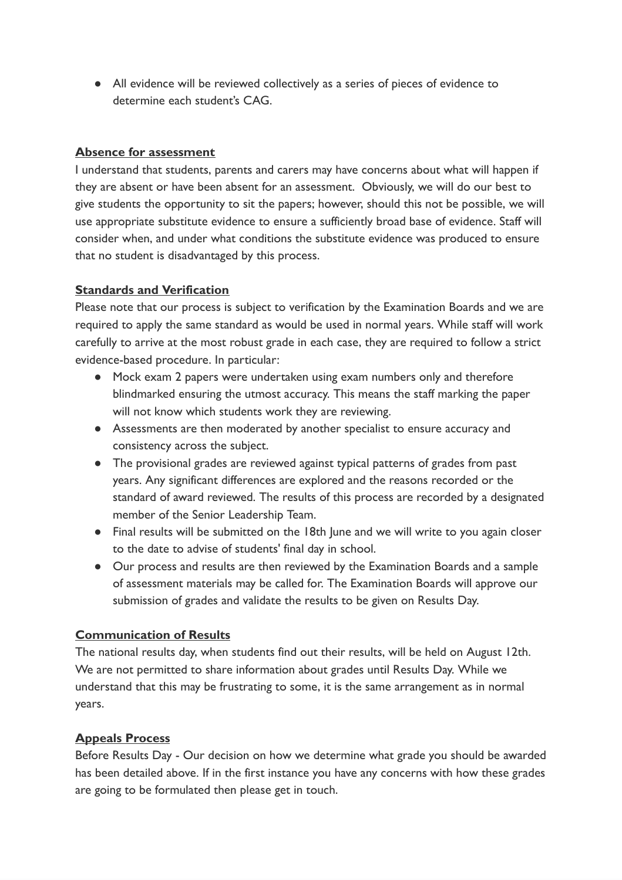● All evidence will be reviewed collectively as a series of pieces of evidence to determine each student's CAG.

#### **Absence for assessment**

I understand that students, parents and carers may have concerns about what will happen if they are absent or have been absent for an assessment. Obviously, we will do our best to give students the opportunity to sit the papers; however, should this not be possible, we will use appropriate substitute evidence to ensure a sufficiently broad base of evidence. Staff will consider when, and under what conditions the substitute evidence was produced to ensure that no student is disadvantaged by this process.

## **Standards and Verification**

Please note that our process is subject to verification by the Examination Boards and we are required to apply the same standard as would be used in normal years. While staff will work carefully to arrive at the most robust grade in each case, they are required to follow a strict evidence-based procedure. In particular:

- Mock exam 2 papers were undertaken using exam numbers only and therefore blindmarked ensuring the utmost accuracy. This means the staff marking the paper will not know which students work they are reviewing.
- Assessments are then moderated by another specialist to ensure accuracy and consistency across the subject.
- The provisional grades are reviewed against typical patterns of grades from past years. Any significant differences are explored and the reasons recorded or the standard of award reviewed. The results of this process are recorded by a designated member of the Senior Leadership Team.
- Final results will be submitted on the 18th June and we will write to you again closer to the date to advise of students' final day in school.
- Our process and results are then reviewed by the Examination Boards and a sample of assessment materials may be called for. The Examination Boards will approve our submission of grades and validate the results to be given on Results Day.

#### **Communication of Results**

The national results day, when students find out their results, will be held on August 12th. We are not permitted to share information about grades until Results Day. While we understand that this may be frustrating to some, it is the same arrangement as in normal years.

## **Appeals Process**

Before Results Day - Our decision on how we determine what grade you should be awarded has been detailed above. If in the first instance you have any concerns with how these grades are going to be formulated then please get in touch.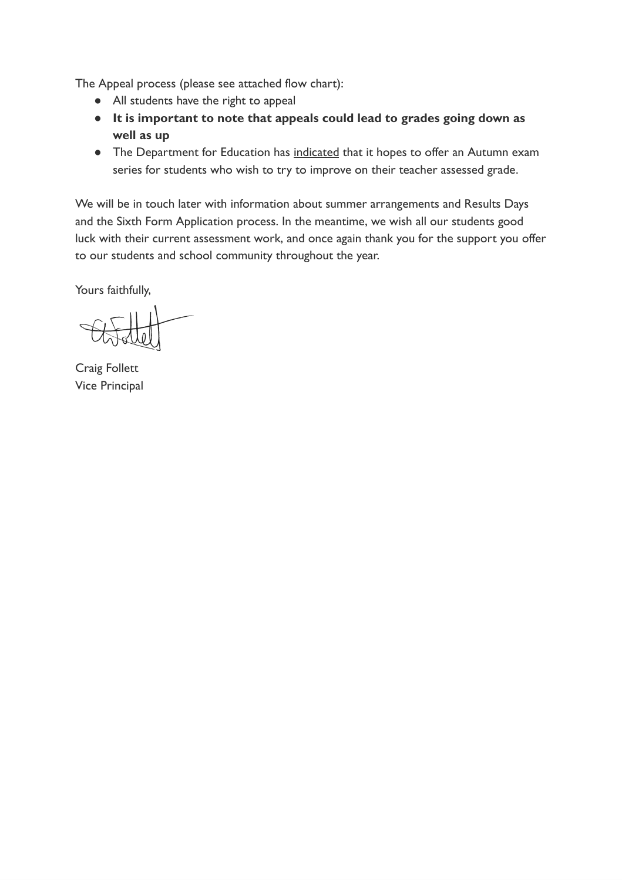The Appeal process (please see attached flow chart):

- All students have the right to appeal
- **● It is important to note that appeals could lead to grades going down as well as up**
- The Department for Education has indicated that it hopes to offer an Autumn exam series for students who wish to try to improve on their teacher assessed grade.

We will be in touch later with information about summer arrangements and Results Days and the Sixth Form Application process. In the meantime, we wish all our students good luck with their current assessment work, and once again thank you for the support you offer to our students and school community throughout the year.

Yours faithfully,

Craig Follett Vice Principal